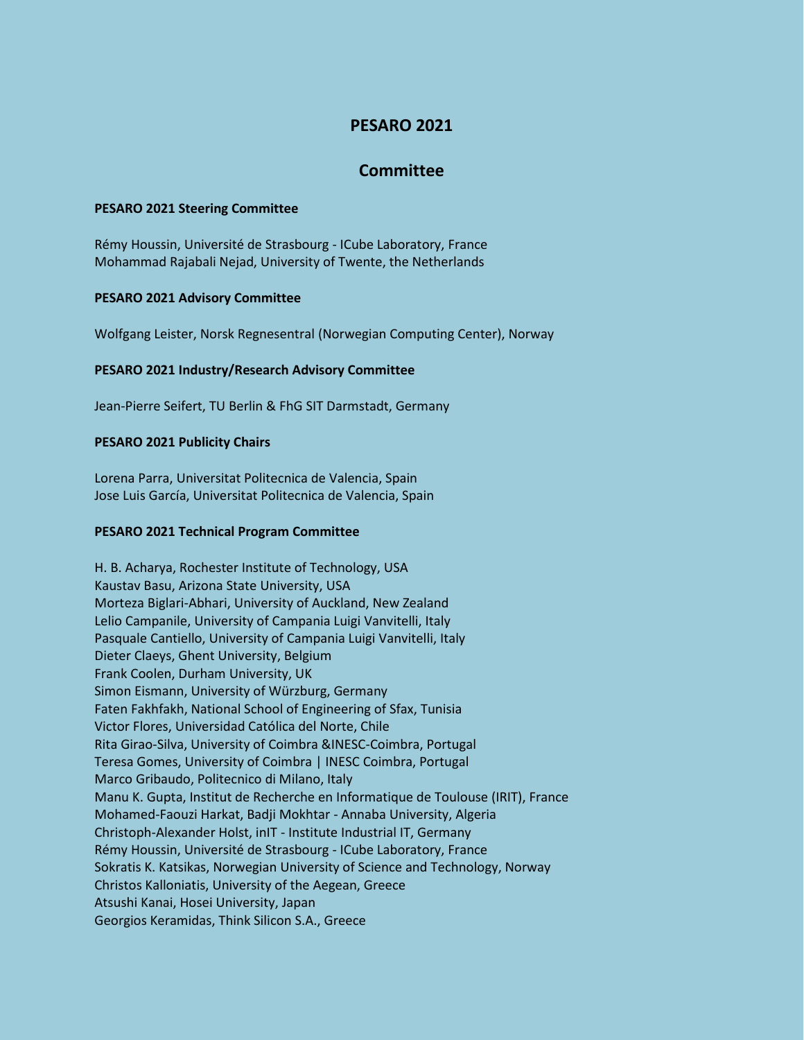# **PESARO 2021**

## **Committee**

#### **PESARO 2021 Steering Committee**

Rémy Houssin, Université de Strasbourg - ICube Laboratory, France Mohammad Rajabali Nejad, University of Twente, the Netherlands

#### **PESARO 2021 Advisory Committee**

Wolfgang Leister, Norsk Regnesentral (Norwegian Computing Center), Norway

#### **PESARO 2021 Industry/Research Advisory Committee**

Jean-Pierre Seifert, TU Berlin & FhG SIT Darmstadt, Germany

#### **PESARO 2021 Publicity Chairs**

Lorena Parra, Universitat Politecnica de Valencia, Spain Jose Luis García, Universitat Politecnica de Valencia, Spain

### **PESARO 2021 Technical Program Committee**

H. B. Acharya, Rochester Institute of Technology, USA Kaustav Basu, Arizona State University, USA Morteza Biglari-Abhari, University of Auckland, New Zealand Lelio Campanile, University of Campania Luigi Vanvitelli, Italy Pasquale Cantiello, University of Campania Luigi Vanvitelli, Italy Dieter Claeys, Ghent University, Belgium Frank Coolen, Durham University, UK Simon Eismann, University of Würzburg, Germany Faten Fakhfakh, National School of Engineering of Sfax, Tunisia Victor Flores, Universidad Católica del Norte, Chile Rita Girao-Silva, University of Coimbra &INESC-Coimbra, Portugal Teresa Gomes, University of Coimbra | INESC Coimbra, Portugal Marco Gribaudo, Politecnico di Milano, Italy Manu K. Gupta, Institut de Recherche en Informatique de Toulouse (IRIT), France Mohamed-Faouzi Harkat, Badji Mokhtar - Annaba University, Algeria Christoph-Alexander Holst, inIT - Institute Industrial IT, Germany Rémy Houssin, Université de Strasbourg - ICube Laboratory, France Sokratis K. Katsikas, Norwegian University of Science and Technology, Norway Christos Kalloniatis, University of the Aegean, Greece Atsushi Kanai, Hosei University, Japan Georgios Keramidas, Think Silicon S.A., Greece